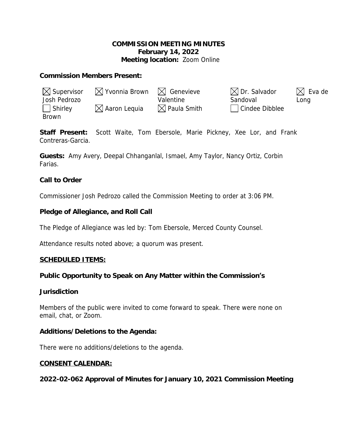# **COMMISSION MEETING MINUTES February 14, 2022 Meeting location:** Zoom Online

## **Commission Members Present:**

| $\boxtimes$ Supervisor | $\boxtimes$ Yvonnia Brown $\boxtimes$ Genevieve |                         | $\boxtimes$ Dr. Salvador | $\boxtimes$ Eva de |
|------------------------|-------------------------------------------------|-------------------------|--------------------------|--------------------|
| Josh Pedrozo           |                                                 | Valentine               | Sandoval                 | Long               |
| $\vert$ Shirley        | $\boxtimes$ Aaron Lequia                        | $\boxtimes$ Paula Smith | Cindee Dibblee           |                    |
| <b>Brown</b>           |                                                 |                         |                          |                    |

**Staff Present:** Scott Waite, Tom Ebersole, Marie Pickney, Xee Lor, and Frank Contreras-Garcia.

**Guests:** Amy Avery, Deepal Chhanganlal, Ismael, Amy Taylor, Nancy Ortiz, Corbin Farias.

# **Call to Order**

Commissioner Josh Pedrozo called the Commission Meeting to order at 3:06 PM.

# **Pledge of Allegiance, and Roll Call**

The Pledge of Allegiance was led by: Tom Ebersole, Merced County Counsel.

Attendance results noted above; a quorum was present.

## **SCHEDULED ITEMS:**

## **Public Opportunity to Speak on Any Matter within the Commission's**

## **Jurisdiction**

Members of the public were invited to come forward to speak. There were none on email, chat, or Zoom.

## **Additions/Deletions to the Agenda:**

There were no additions/deletions to the agenda.

## **CONSENT CALENDAR:**

**2022-02-062 Approval of Minutes for January 10, 2021 Commission Meeting**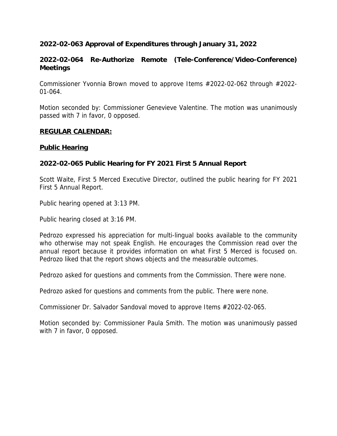# **2022-02-063 Approval of Expenditures through January 31, 2022**

# **2022-02-064 Re-Authorize Remote (Tele-Conference/Video-Conference) Meetings**

Commissioner Yvonnia Brown moved to approve Items #2022-02-062 through #2022- 01-064.

Motion seconded by: Commissioner Genevieve Valentine. The motion was unanimously passed with 7 in favor, 0 opposed.

## **REGULAR CALENDAR:**

# **Public Hearing**

# **2022-02-065 Public Hearing for FY 2021 First 5 Annual Report**

Scott Waite, First 5 Merced Executive Director, outlined the public hearing for FY 2021 First 5 Annual Report.

Public hearing opened at 3:13 PM.

Public hearing closed at 3:16 PM.

Pedrozo expressed his appreciation for multi-lingual books available to the community who otherwise may not speak English. He encourages the Commission read over the annual report because it provides information on what First 5 Merced is focused on. Pedrozo liked that the report shows objects and the measurable outcomes.

Pedrozo asked for questions and comments from the Commission. There were none.

Pedrozo asked for questions and comments from the public. There were none.

Commissioner Dr. Salvador Sandoval moved to approve Items #2022-02-065.

Motion seconded by: Commissioner Paula Smith. The motion was unanimously passed with 7 in favor, 0 opposed.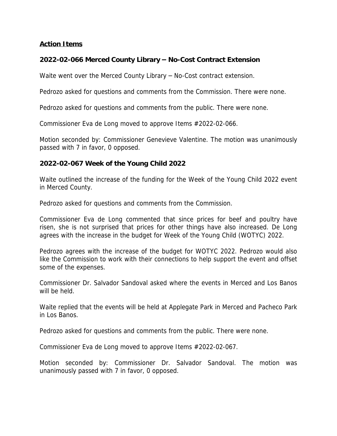# **Action Items**

# **2022-02-066 Merced County Library – No-Cost Contract Extension**

Waite went over the Merced County Library – No-Cost contract extension.

Pedrozo asked for questions and comments from the Commission. There were none.

Pedrozo asked for questions and comments from the public. There were none.

Commissioner Eva de Long moved to approve Items #2022-02-066.

Motion seconded by: Commissioner Genevieve Valentine. The motion was unanimously passed with 7 in favor, 0 opposed.

## **2022-02-067 Week of the Young Child 2022**

Waite outlined the increase of the funding for the Week of the Young Child 2022 event in Merced County.

Pedrozo asked for questions and comments from the Commission.

Commissioner Eva de Long commented that since prices for beef and poultry have risen, she is not surprised that prices for other things have also increased. De Long agrees with the increase in the budget for Week of the Young Child (WOTYC) 2022.

Pedrozo agrees with the increase of the budget for WOTYC 2022. Pedrozo would also like the Commission to work with their connections to help support the event and offset some of the expenses.

Commissioner Dr. Salvador Sandoval asked where the events in Merced and Los Banos will be held.

Waite replied that the events will be held at Applegate Park in Merced and Pacheco Park in Los Banos.

Pedrozo asked for questions and comments from the public. There were none.

Commissioner Eva de Long moved to approve Items #2022-02-067.

Motion seconded by: Commissioner Dr. Salvador Sandoval. The motion was unanimously passed with 7 in favor, 0 opposed.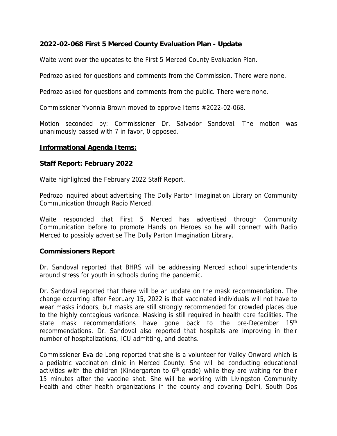# **2022-02-068 First 5 Merced County Evaluation Plan - Update**

Waite went over the updates to the First 5 Merced County Evaluation Plan.

Pedrozo asked for questions and comments from the Commission. There were none.

Pedrozo asked for questions and comments from the public. There were none.

Commissioner Yvonnia Brown moved to approve Items #2022-02-068.

Motion seconded by: Commissioner Dr. Salvador Sandoval. The motion was unanimously passed with 7 in favor, 0 opposed.

#### **Informational Agenda Items:**

#### **Staff Report: February 2022**

Waite highlighted the February 2022 Staff Report.

Pedrozo inquired about advertising The Dolly Parton Imagination Library on Community Communication through Radio Merced.

Waite responded that First 5 Merced has advertised through Community Communication before to promote Hands on Heroes so he will connect with Radio Merced to possibly advertise The Dolly Parton Imagination Library.

## **Commissioners Report**

Dr. Sandoval reported that BHRS will be addressing Merced school superintendents around stress for youth in schools during the pandemic.

Dr. Sandoval reported that there will be an update on the mask recommendation. The change occurring after February 15, 2022 is that vaccinated individuals will not have to wear masks indoors, but masks are still strongly recommended for crowded places due to the highly contagious variance. Masking is still required in health care facilities. The state mask recommendations have gone back to the pre-December 15<sup>th</sup> recommendations. Dr. Sandoval also reported that hospitals are improving in their number of hospitalizations, ICU admitting, and deaths.

Commissioner Eva de Long reported that she is a volunteer for Valley Onward which is a pediatric vaccination clinic in Merced County. She will be conducting educational activities with the children (Kindergarten to 6<sup>th</sup> grade) while they are waiting for their 15 minutes after the vaccine shot. She will be working with Livingston Community Health and other health organizations in the county and covering Delhi, South Dos